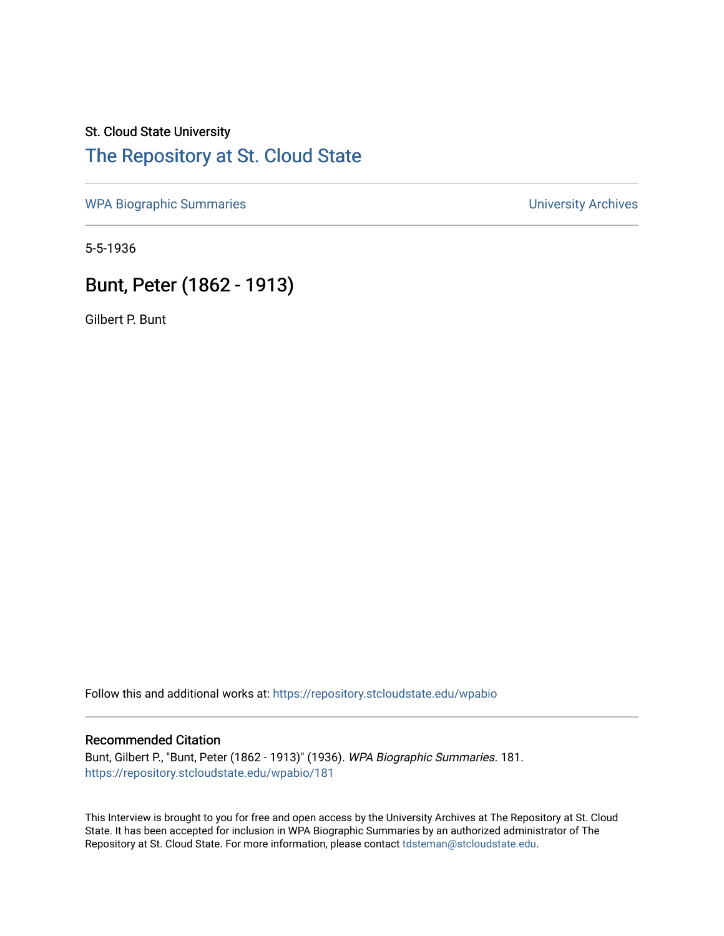# St. Cloud State University [The Repository at St. Cloud State](https://repository.stcloudstate.edu/)

[WPA Biographic Summaries](https://repository.stcloudstate.edu/wpabio) **WPA Biographic Summaries University Archives** 

5-5-1936

# Bunt, Peter (1862 - 1913)

Gilbert P. Bunt

Follow this and additional works at: [https://repository.stcloudstate.edu/wpabio](https://repository.stcloudstate.edu/wpabio?utm_source=repository.stcloudstate.edu%2Fwpabio%2F181&utm_medium=PDF&utm_campaign=PDFCoverPages) 

## Recommended Citation

Bunt, Gilbert P., "Bunt, Peter (1862 - 1913)" (1936). WPA Biographic Summaries. 181. [https://repository.stcloudstate.edu/wpabio/181](https://repository.stcloudstate.edu/wpabio/181?utm_source=repository.stcloudstate.edu%2Fwpabio%2F181&utm_medium=PDF&utm_campaign=PDFCoverPages) 

This Interview is brought to you for free and open access by the University Archives at The Repository at St. Cloud State. It has been accepted for inclusion in WPA Biographic Summaries by an authorized administrator of The Repository at St. Cloud State. For more information, please contact [tdsteman@stcloudstate.edu.](mailto:tdsteman@stcloudstate.edu)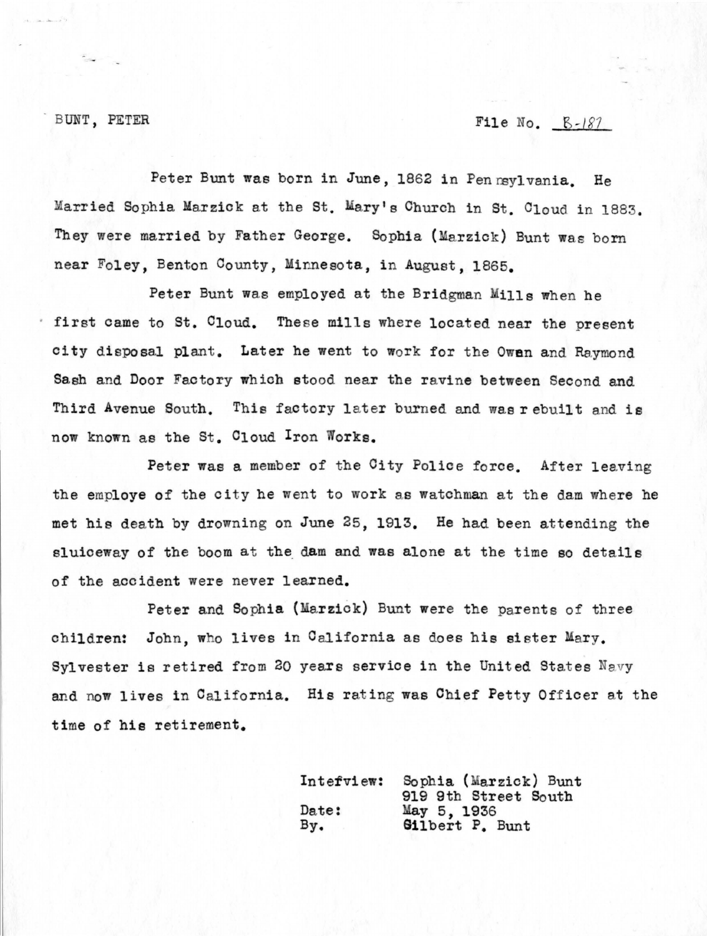# BUNT, PETER  $File No. 8-187$

Peter Bunt was born in June, 1862 in Penrsylvania. He Married Sophia Marzick at the St. Mary's Church in St. Cloud in 1883. They were married by Father George. Sophia (Marzick) Bunt was born near Foley, Benton County, Minnesota, in August, 1865.

Peter Bunt was employed at the Bridgman Mills when he first came to St. Cloud. These mills where located near the present city disposal plant. Later he went to work for the **Owen** and Raymond Sash and Door Factory which stood near the ravine between Second and Third Avenue South. This factory later burned and was rebuilt and is now known as the St. Cloud Iron Works.

Peter was a member of the City Police force. After leaving the employe of the city he went to work as watchman at the dam where he met hie death by drowning on June 25, 1913. He had been attending the sluiceway of the boom at the dam and was alone at the time so details of the accident were never learned.

Peter and Sophia (Marzick) Bunt were the parents of three children: John, who lives in California as does his sister Mary. Sylvester is retired from 20 years service in the United States Navy and now lives in California. His rating was Chief Petty Officer at the time of hie retirement.

| Interview: | Sophia (Marzick) Bunt  |
|------------|------------------------|
|            | 919 9th Street South   |
| Date:      | May 5, 1936            |
| By.        | <b>Gilbert P. Bunt</b> |